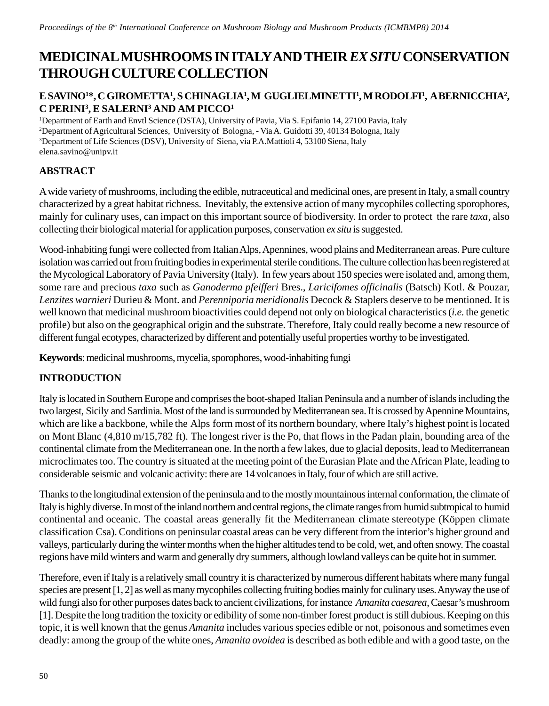# **MEDICINAL MUSHROOMS IN ITALY AND THEIR** *EX SITU* **CONSERVATION THROUGH CULTURE COLLECTION**

## **E SAVINO1 \*, C GIROMETTA1 , S CHINAGLIA1 , M GUGLIELMINETTI1 , M RODOLFI1 , A BERNICCHIA2 ,**  $\bf C$  PERINI<sup>3</sup>, E SALERNI<sup>3</sup> AND AM PICCO<sup>1</sup>

 Department of Earth and Envtl Science (DSTA), University of Pavia, Via S. Epifanio 14, 27100 Pavia, Italy Department of Agricultural Sciences, University of Bologna, - Via A. Guidotti 39, 40134 Bologna, Italy Department of Life Sciences (DSV), University of Siena, via P.A.Mattioli 4, 53100 Siena, Italy elena.savino@unipv.it

## **ABSTRACT**

A wide variety of mushrooms, including the edible, nutraceutical and medicinal ones, are present in Italy, a small country characterized by a great habitat richness. Inevitably, the extensive action of many mycophiles collecting sporophores, mainly for culinary uses, can impact on this important source of biodiversity. In order to protect the rare *taxa*, also collecting their biological material for application purposes, conservation *ex situ* is suggested.

Wood-inhabiting fungi were collected from Italian Alps, Apennines, wood plains and Mediterranean areas. Pure culture isolation was carried out from fruiting bodies in experimental sterile conditions. The culture collection has been registered at the Mycological Laboratory of Pavia University (Italy). In few years about 150 species were isolated and, among them, some rare and precious *taxa* such as *Ganoderma pfeifferi* Bres., *Laricifomes officinalis* (Batsch) Kotl. & Pouzar, *Lenzites warnieri* Durieu & Mont. and *Perenniporia meridionalis* Decock & Staplers deserve to be mentioned*.* It is well known that medicinal mushroom bioactivities could depend not only on biological characteristics (*i.e.* the genetic profile) but also on the geographical origin and the substrate. Therefore, Italy could really become a new resource of different fungal ecotypes, characterized by different and potentially useful properties worthy to be investigated.

**Keywords**: medicinal mushrooms, mycelia, sporophores, wood-inhabiting fungi

## **INTRODUCTION**

Italy is located in Southern Europe and comprises the boot-shaped Italian Peninsula and a number of islands including the two largest, Sicily and Sardinia. Most of the land is surrounded by Mediterranean sea. It is crossed by Apennine Mountains, which are like a backbone, while the Alps form most of its northern boundary, where Italy's highest point is located on Mont Blanc (4,810 m/15,782 ft). The longest river is the Po, that flows in the Padan plain, bounding area of the continental climate from the Mediterranean one. In the north a few lakes, due to glacial deposits, lead to Mediterranean microclimates too. The country is situated at the meeting point of the Eurasian Plate and the African Plate, leading to considerable seismic and volcanic activity: there are 14 volcanoes in Italy, four of which are still active.

Thanks to the longitudinal extension of the peninsula and to the mostly mountainous internal conformation, the climate of Italy is highly diverse. In most of the inland northern and central regions, the climate ranges from humid subtropical to humid continental and oceanic. The coastal areas generally fit the Mediterranean climate stereotype (Köppen climate classification Csa). Conditions on peninsular coastal areas can be very different from the interior's higher ground and valleys, particularly during the winter months when the higher altitudes tend to be cold, wet, and often snowy. The coastal regions have mild winters and warm and generally dry summers, although lowland valleys can be quite hot in summer.

Therefore, even if Italy is a relatively small country it is characterized by numerous different habitats where many fungal species are present [1, 2] as well as many mycophiles collecting fruiting bodies mainly for culinary uses. Anyway the use of wild fungi also for other purposes dates back to ancient civilizations, for instance *Amanita caesarea*, Caesar's mushroom [1]. Despite the long tradition the toxicity or edibility of some non-timber forest product is still dubious. Keeping on this topic, it is well known that the genus *Amanita* includes various species edible or not, poisonous and sometimes even deadly: among the group of the white ones, *Amanita ovoidea* is described as both edible and with a good taste, on the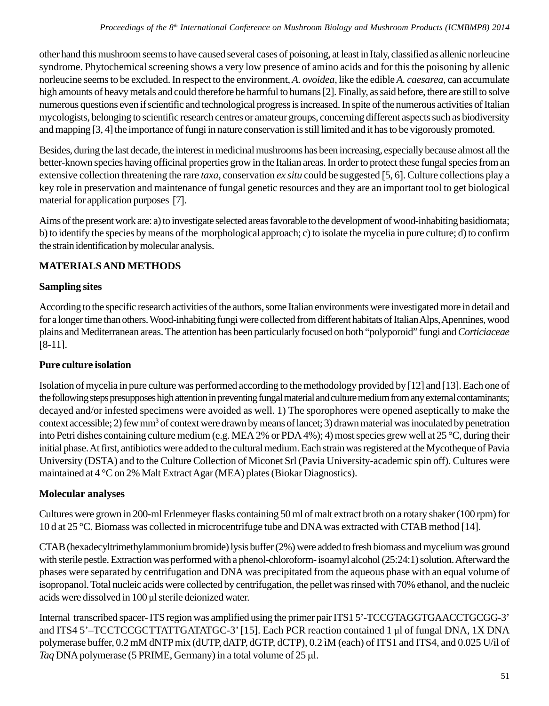other hand this mushroom seems to have caused several cases of poisoning, at least in Italy, classified as allenic norleucine syndrome. Phytochemical screening shows a very low presence of amino acids and for this the poisoning by allenic norleucine seems to be excluded. In respect to the environment, *A. ovoidea*, like the edible *A. caesarea*, can accumulate high amounts of heavy metals and could therefore be harmful to humans [2]. Finally, as said before, there are still to solve numerous questions even if scientific and technological progress is increased. In spite of the numerous activities of Italian mycologists, belonging to scientific research centres or amateur groups, concerning different aspects such as biodiversity and mapping [3, 4] the importance of fungi in nature conservation is still limited and it has to be vigorously promoted.

Besides, during the last decade, the interest in medicinal mushrooms has been increasing, especially because almost all the better-known species having officinal properties grow in the Italian areas. In order to protect these fungal species from an extensive collection threatening the rare *taxa*, conservation *ex situ* could be suggested [5, 6]. Culture collections play a key role in preservation and maintenance of fungal genetic resources and they are an important tool to get biological material for application purposes [7].

Aims of the present work are: a) to investigate selected areas favorable to the development of wood-inhabiting basidiomata; b) to identify the species by means of the morphological approach; c) to isolate the mycelia in pure culture; d) to confirm the strain identification by molecular analysis.

## **MATERIALS AND METHODS**

## **Sampling sites**

According to the specific research activities of the authors, some Italian environments were investigated more in detail and for a longer time than others. Wood-inhabiting fungi were collected from different habitats of Italian Alps, Apennines, wood plains and Mediterranean areas. The attention has been particularly focused on both "polyporoid" fungi and *Corticiaceae* [8-11].

### **Pure culture isolation**

Isolation of mycelia in pure culture was performed according to the methodology provided by [12] and [13]. Each one of the following steps presupposes high attention in preventing fungal material and culture medium from any external contaminants; decayed and/or infested specimens were avoided as well. 1) The sporophores were opened aseptically to make the context accessible; 2) few mm<sup>3</sup> of context were drawn by means of lancet; 3) drawn material was inoculated by penetration into Petri dishes containing culture medium (e.g. MEA 2% or PDA 4%); 4) most species grew well at 25 °C, during their initial phase. At first, antibiotics were added to the cultural medium. Each strain was registered at the Mycotheque of Pavia University (DSTA) and to the Culture Collection of Miconet Srl (Pavia University-academic spin off). Cultures were maintained at 4 °C on 2% Malt Extract Agar (MEA) plates (Biokar Diagnostics).

## **Molecular analyses**

Cultures were grown in 200-ml Erlenmeyer flasks containing 50 ml of malt extract broth on a rotary shaker (100 rpm) for 10 d at 25 °C. Biomass was collected in microcentrifuge tube and DNA was extracted with CTAB method [14].

CTAB (hexadecyltrimethylammonium bromide) lysis buffer (2%) were added to fresh biomass and mycelium was ground with sterile pestle. Extraction was performed with a phenol-chloroform- isoamyl alcohol (25:24:1) solution. Afterward the phases were separated by centrifugation and DNA was precipitated from the aqueous phase with an equal volume of isopropanol. Total nucleic acids were collected by centrifugation, the pellet was rinsed with 70% ethanol, and the nucleic acids were dissolved in 100 µl sterile deionized water.

Internal transcribed spacer- ITS region was amplified using the primer pair ITS1 5'-TCCGTAGGTGAACCTGCGG-3' and ITS4 5'–TCCTCCGCTTATTGATATGC-3' [15]. Each PCR reaction contained 1 µl of fungal DNA, 1X DNA polymerase buffer, 0.2 mM dNTP mix (dUTP, dATP, dGTP, dCTP), 0.2 ìM (each) of ITS1 and ITS4, and 0.025 U/ìl of *Taq* DNA polymerase (5 PRIME, Germany) in a total volume of 25 μl.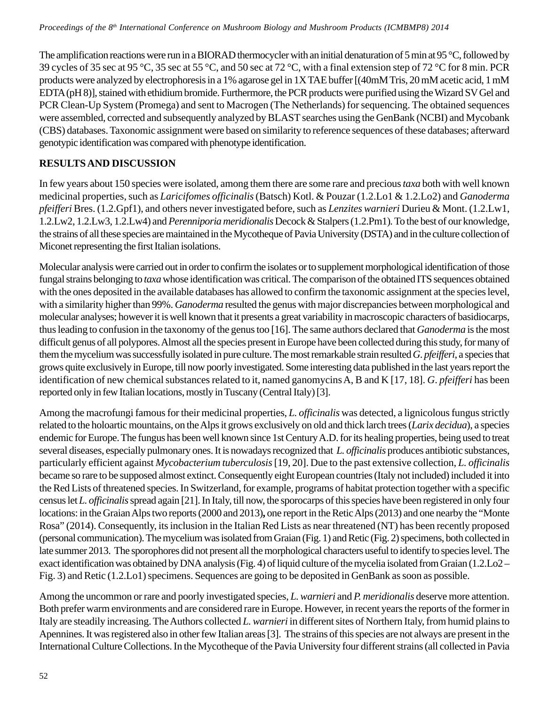The amplification reactions were run in a BIORAD thermocycler with an initial denaturation of 5 min at 95 °C, followed by 39 cycles of 35 sec at 95 °C, 35 sec at 55 °C, and 50 sec at 72 °C, with a final extension step of 72 °C for 8 min. PCR products were analyzed by electrophoresis in a 1% agarose gel in 1X TAE buffer [(40mM Tris, 20 mM acetic acid, 1 mM EDTA (pH 8)], stained with ethidium bromide. Furthermore, the PCR products were purified using the Wizard SV Gel and PCR Clean-Up System (Promega) and sent to Macrogen (The Netherlands) for sequencing. The obtained sequences were assembled, corrected and subsequently analyzed by BLAST searches using the GenBank (NCBI) and Mycobank (CBS) databases. Taxonomic assignment were based on similarity to reference sequences of these databases; afterward genotypic identification was compared with phenotype identification.

## **RESULTS AND DISCUSSION**

In few years about 150 species were isolated, among them there are some rare and precious *taxa* both with well known medicinal properties, such as *Laricifomes officinalis* (Batsch) Kotl. & Pouzar (1.2.Lo1 & 1.2.Lo2) and *Ganoderma pfeifferi* Bres. (1.2.Gpf1), and others never investigated before, such as *Lenzites warnieri* Durieu & Mont. (1.2.Lw1, 1.2.Lw2, 1.2.Lw3, 1.2.Lw4) and *Perenniporia meridionalis* Decock & Stalpers (1.2.Pm1)*.* To the best of our knowledge, the strains of all these species are maintained in the Mycotheque of Pavia University (DSTA) and in the culture collection of Miconet representing the first Italian isolations.

Molecular analysis were carried out in order to confirm the isolates or to supplement morphological identification of those fungal strains belonging to *taxa* whose identification was critical. The comparison of the obtained ITS sequences obtained with the ones deposited in the available databases has allowed to confirm the taxonomic assignment at the species level, with a similarity higher than 99%. *Ganoderma* resulted the genus with major discrepancies between morphological and molecular analyses; however it is well known that it presents a great variability in macroscopic characters of basidiocarps, thus leading to confusion in the taxonomy of the genus too [16]. The same authors declared that *Ganoderma* is the most difficult genus of all polypores. Almost all the species present in Europe have been collected during this study, for many of them the mycelium was successfully isolated in pure culture. The most remarkable strain resulted *G*. *pfeifferi*, a species that grows quite exclusively in Europe, till now poorly investigated. Some interesting data published in the last years report the identification of new chemical substances related to it, named ganomycins A, B and K [17, 18]. *G*. *pfeifferi* has been reported only in few Italian locations, mostly in Tuscany (Central Italy) [3].

Among the macrofungi famous for their medicinal properties, *L. officinalis* was detected, a lignicolous fungus strictly related to the holoartic mountains, on the Alps it grows exclusively on old and thick larch trees (*Larix decidua*), a species endemic for Europe. The fungus has been well known since 1st Century A.D. for its healing properties, being used to treat several diseases, especially pulmonary ones. It is nowadays recognized that *L. officinalis* produces antibiotic substances, particularly efficient against *Mycobacterium tuberculosis* [19, 20]. Due to the past extensive collection, *L. officinalis* became so rare to be supposed almost extinct. Consequently eight European countries (Italy not included) included it into the Red Lists of threatened species. In Switzerland, for example, programs of habitat protection together with a specific census let *L. officinalis* spread again [21]. In Italy, till now, the sporocarps of this species have been registered in only four locations: in the Graian Alps two reports (2000 and 2013), one report in the Retic Alps (2013) and one nearby the "Monte Rosa" (2014). Consequently, its inclusion in the Italian Red Lists as near threatened (NT) has been recently proposed (personal communication). The mycelium was isolated from Graian (Fig. 1) and Retic (Fig. 2) specimens, both collected in late summer 2013. The sporophores did not present all the morphological characters useful to identify to species level. The exact identification was obtained by DNA analysis (Fig. 4) of liquid culture of the mycelia isolated from Graian (1.2.Lo2 – Fig. 3) and Retic (1.2.Lo1) specimens. Sequences are going to be deposited in GenBank as soon as possible.

Among the uncommon or rare and poorly investigated species, *L. warnieri* and *P. meridionalis* deserve more attention. Both prefer warm environments and are considered rare in Europe. However, in recent years the reports of the former in Italy are steadily increasing. The Authors collected *L. warnieri* in different sites of Northern Italy, from humid plains to Apennines. It was registered also in other few Italian areas [3]. The strains of this species are not always are present in the International Culture Collections. In the Mycotheque of the Pavia University four different strains (all collected in Pavia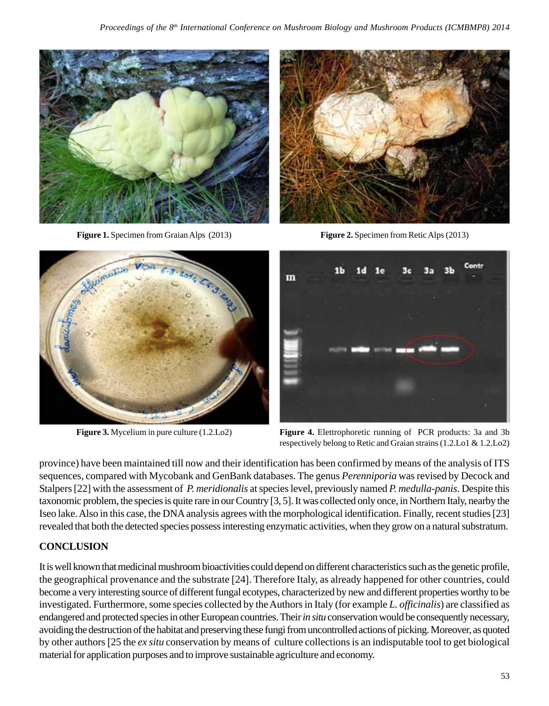

**Figure 1.** Specimen from Graian Alps (2013) **Figure 2.** Specimen from Retic Alps (2013)







**Figure 3.** Mycelium in pure culture (1.2.Lo2) **Figure 4.** Elettrophoretic running of PCR products: 3a and 3b respectively belong to Retic and Graian strains (1.2.Lo1 & 1.2.Lo2)

province) have been maintained till now and their identification has been confirmed by means of the analysis of ITS sequences, compared with Mycobank and GenBank databases. The genus *Perenniporia* was revised by Decock and Stalpers [22] with the assessment of *P. meridionalis* at species level, previously named *P. medulla-panis*. Despite this taxonomic problem, the species is quite rare in our Country [3, 5]. It was collected only once, in Northern Italy, nearby the Iseo lake. Also in this case, the DNA analysis agrees with the morphological identification. Finally, recent studies [23] revealed that both the detected species possess interesting enzymatic activities, when they grow on a natural substratum.

## **CONCLUSION**

It is well known that medicinal mushroombioactivities could depend on different characteristics such as the genetic profile, the geographical provenance and the substrate [24]. Therefore Italy, as already happened for other countries, could become a very interesting source of different fungal ecotypes, characterized by new and different properties worthy to be investigated. Furthermore, some species collected by the Authors in Italy (for example *L. officinalis*) are classified as endangered and protected species in other European countries. Their *in situ* conservation would be consequently necessary, avoiding the destruction of the habitat and preserving these fungi from uncontrolled actions of picking. Moreover, as quoted by other authors [25 the *ex situ* conservation by means of culture collections is an indisputable tool to get biological material for application purposes and to improve sustainable agriculture and economy.